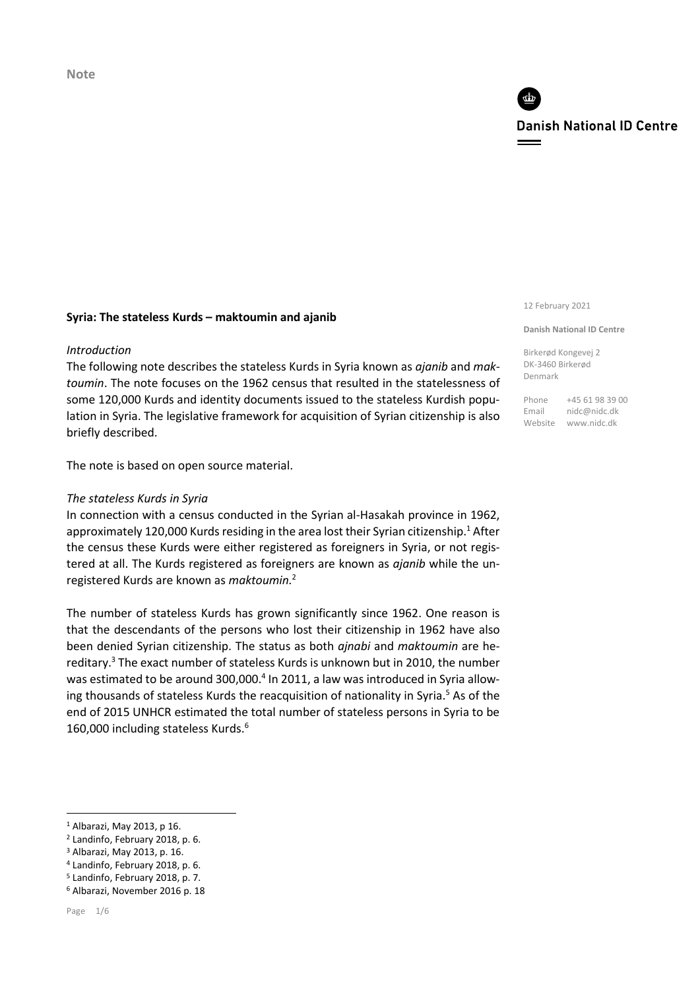**Note**

# **Danish National ID Centre**

#### **Syria: The stateless Kurds – maktoumin and ajanib**

#### *Introduction*

The following note describes the stateless Kurds in Syria known as *ajanib* and *maktoumin*. The note focuses on the 1962 census that resulted in the statelessness of some 120,000 Kurds and identity documents issued to the stateless Kurdish population in Syria. The legislative framework for acquisition of Syrian citizenship is also briefly described.

The note is based on open source material.

#### *The stateless Kurds in Syria*

In connection with a census conducted in the Syrian al-Hasakah province in 1962, approximately 120,000 Kurds residing in the area lost their Syrian citizenship.<sup>1</sup> After the census these Kurds were either registered as foreigners in Syria, or not registered at all. The Kurds registered as foreigners are known as *ajanib* while the unregistered Kurds are known as *maktoumin.*<sup>2</sup> 

The number of stateless Kurds has grown significantly since 1962. One reason is that the descendants of the persons who lost their citizenship in 1962 have also been denied Syrian citizenship. The status as both *ajnabi* and *maktoumin* are hereditary. <sup>3</sup> The exact number of stateless Kurds is unknown but in 2010, the number was estimated to be around 300,000.<sup>4</sup> In 2011, a law was introduced in Syria allowing thousands of stateless Kurds the reacquisition of nationality in Syria.<sup>5</sup> As of the end of 2015 UNHCR estimated the total number of stateless persons in Syria to be 160,000 including stateless Kurds.<sup>6</sup>

<sup>4</sup> Landinfo, February 2018, p. 6.

**.** 

12 February 2021

#### **Danish National ID Centre**

Birkerød Kongevej 2 DK-3460 Birkerød Denmark

Phone +45 61 98 39 00 Email nidc@nidc.dk Website www.nidc.dk

<sup>1</sup> Albarazi, May 2013, p 16.

<sup>2</sup> Landinfo, February 2018, p. 6.

<sup>3</sup> Albarazi, May 2013, p. 16.

<sup>5</sup> Landinfo, February 2018, p. 7.

<sup>6</sup> Albarazi, November 2016 p. 18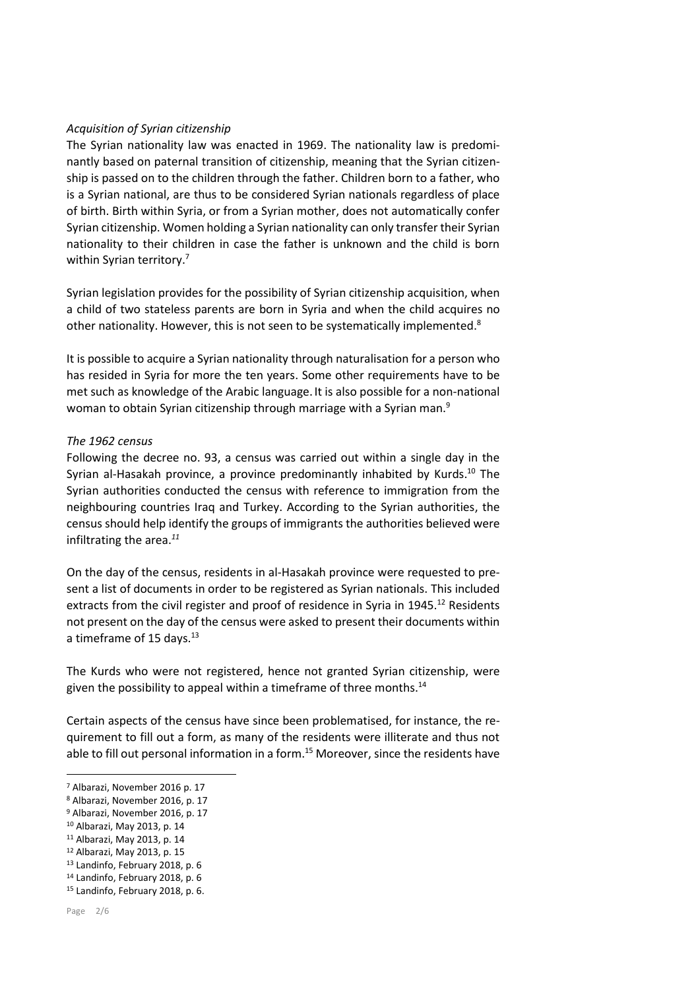### *Acquisition of Syrian citizenship*

The Syrian nationality law was enacted in 1969. The nationality law is predominantly based on paternal transition of citizenship, meaning that the Syrian citizenship is passed on to the children through the father. Children born to a father, who is a Syrian national, are thus to be considered Syrian nationals regardless of place of birth. Birth within Syria, or from a Syrian mother, does not automatically confer Syrian citizenship. Women holding a Syrian nationality can only transfer their Syrian nationality to their children in case the father is unknown and the child is born within Syrian territory.<sup>7</sup>

Syrian legislation provides for the possibility of Syrian citizenship acquisition, when a child of two stateless parents are born in Syria and when the child acquires no other nationality. However, this is not seen to be systematically implemented.<sup>8</sup>

It is possible to acquire a Syrian nationality through naturalisation for a person who has resided in Syria for more the ten years. Some other requirements have to be met such as knowledge of the Arabic language. It is also possible for a non-national woman to obtain Syrian citizenship through marriage with a Syrian man.<sup>9</sup>

#### *The 1962 census*

Following the decree no. 93, a census was carried out within a single day in the Syrian al-Hasakah province, a province predominantly inhabited by Kurds.<sup>10</sup> The Syrian authorities conducted the census with reference to immigration from the neighbouring countries Iraq and Turkey. According to the Syrian authorities, the census should help identify the groups of immigrants the authorities believed were infiltrating the area. *11*

On the day of the census, residents in al-Hasakah province were requested to present a list of documents in order to be registered as Syrian nationals. This included extracts from the civil register and proof of residence in Syria in  $1945$ .<sup>12</sup> Residents not present on the day of the census were asked to present their documents within a timeframe of 15 days.<sup>13</sup>

The Kurds who were not registered, hence not granted Syrian citizenship, were given the possibility to appeal within a timeframe of three months.<sup>14</sup>

Certain aspects of the census have since been problematised, for instance, the requirement to fill out a form, as many of the residents were illiterate and thus not able to fill out personal information in a form. <sup>15</sup> Moreover, since the residents have

- <sup>10</sup> Albarazi, May 2013, p. 14
- <sup>11</sup> Albarazi, May 2013, p. 14

<sup>13</sup> Landinfo, February 2018, p. 6

**.** 

<sup>7</sup> Albarazi, November 2016 p. 17

<sup>8</sup> Albarazi, November 2016, p. 17

<sup>9</sup> Albarazi, November 2016, p. 17

<sup>12</sup> Albarazi, May 2013, p. 15

<sup>14</sup> Landinfo, February 2018, p. 6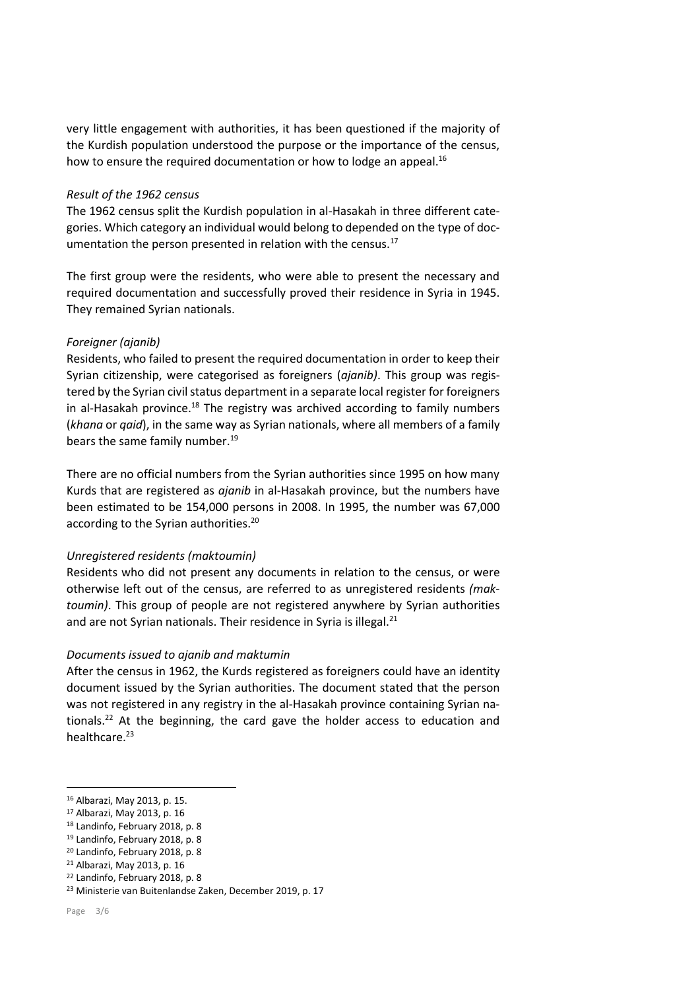very little engagement with authorities, it has been questioned if the majority of the Kurdish population understood the purpose or the importance of the census, how to ensure the required documentation or how to lodge an appeal.<sup>16</sup>

#### *Result of the 1962 census*

The 1962 census split the Kurdish population in al-Hasakah in three different categories. Which category an individual would belong to depended on the type of documentation the person presented in relation with the census.<sup>17</sup>

The first group were the residents, who were able to present the necessary and required documentation and successfully proved their residence in Syria in 1945. They remained Syrian nationals.

# *Foreigner (ajanib)*

Residents, who failed to present the required documentation in order to keep their Syrian citizenship, were categorised as foreigners (*ajanib)*. This group was registered by the Syrian civil status department in a separate local register for foreigners in al-Hasakah province.<sup>18</sup> The registry was archived according to family numbers (*khana* or *qaid*), in the same way as Syrian nationals, where all members of a family bears the same family number. 19

There are no official numbers from the Syrian authorities since 1995 on how many Kurds that are registered as *ajanib* in al-Hasakah province, but the numbers have been estimated to be 154,000 persons in 2008. In 1995, the number was 67,000 according to the Syrian authorities.<sup>20</sup>

# *Unregistered residents (maktoumin)*

Residents who did not present any documents in relation to the census, or were otherwise left out of the census, are referred to as unregistered residents *(maktoumin)*. This group of people are not registered anywhere by Syrian authorities and are not Syrian nationals. Their residence in Syria is illegal.<sup>21</sup>

# *Documents issued to ajanib and maktumin*

After the census in 1962, the Kurds registered as foreigners could have an identity document issued by the Syrian authorities. The document stated that the person was not registered in any registry in the al-Hasakah province containing Syrian nationals.<sup>22</sup> At the beginning, the card gave the holder access to education and healthcare.<sup>23</sup>

**.** 

<sup>16</sup> Albarazi, May 2013, p. 15.

<sup>17</sup> Albarazi, May 2013, p. 16

<sup>18</sup> Landinfo, February 2018, p. 8

<sup>19</sup> Landinfo, February 2018, p. 8

<sup>20</sup> Landinfo, February 2018, p. 8

<sup>21</sup> Albarazi, May 2013, p. 16

<sup>22</sup> Landinfo, February 2018, p. 8

<sup>23</sup> Ministerie van Buitenlandse Zaken, December 2019, p. 17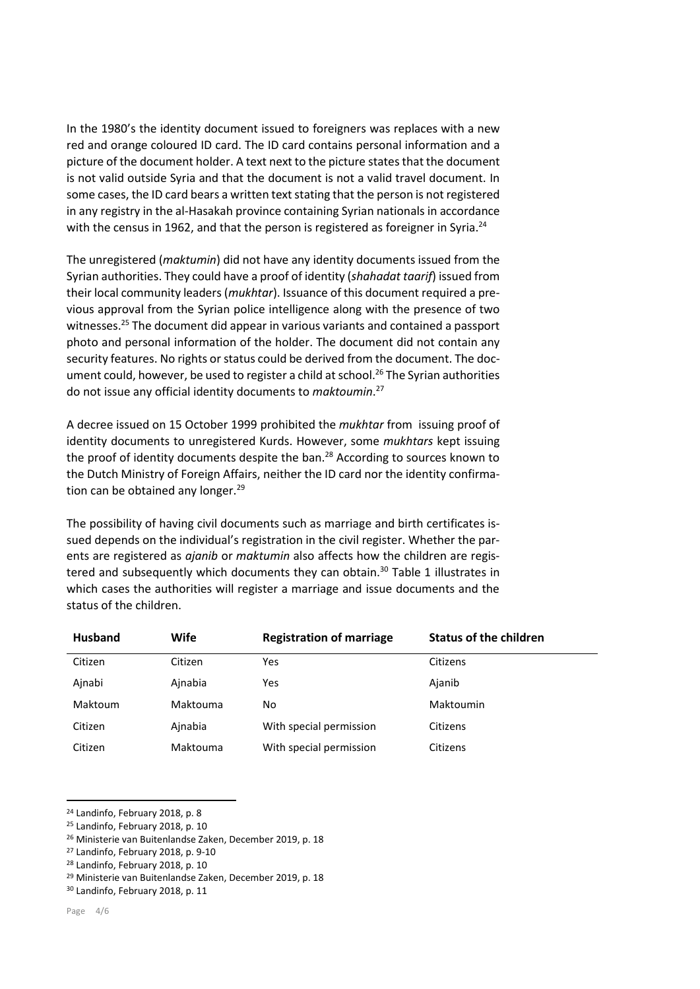In the 1980's the identity document issued to foreigners was replaces with a new red and orange coloured ID card. The ID card contains personal information and a picture of the document holder. A text next to the picture states that the document is not valid outside Syria and that the document is not a valid travel document. In some cases, the ID card bears a written text stating that the person is not registered in any registry in the al-Hasakah province containing Syrian nationals in accordance with the census in 1962, and that the person is registered as foreigner in Syria.<sup>24</sup>

The unregistered (*maktumin*) did not have any identity documents issued from the Syrian authorities. They could have a proof of identity (*shahadat taarif*) issued from their local community leaders (*mukhtar*). Issuance of this document required a previous approval from the Syrian police intelligence along with the presence of two witnesses.<sup>25</sup> The document did appear in various variants and contained a passport photo and personal information of the holder. The document did not contain any security features. No rights or status could be derived from the document. The document could, however, be used to register a child at school.<sup>26</sup> The Syrian authorities do not issue any official identity documents to *maktoumin*. 27

A decree issued on 15 October 1999 prohibited the *mukhtar* from issuing proof of identity documents to unregistered Kurds. However, some *mukhtars* kept issuing the proof of identity documents despite the ban.<sup>28</sup> According to sources known to the Dutch Ministry of Foreign Affairs, neither the ID card nor the identity confirmation can be obtained any longer.<sup>29</sup>

The possibility of having civil documents such as marriage and birth certificates issued depends on the individual's registration in the civil register. Whether the parents are registered as *ajanib* or *maktumin* also affects how the children are registered and subsequently which documents they can obtain.<sup>30</sup> Table 1 illustrates in which cases the authorities will register a marriage and issue documents and the status of the children.

| <b>Husband</b> | Wife     | <b>Registration of marriage</b> | <b>Status of the children</b> |
|----------------|----------|---------------------------------|-------------------------------|
| Citizen        | Citizen  | Yes                             | Citizens                      |
| Ainabi         | Ainabia  | Yes                             | Ajanib                        |
| Maktoum        | Maktouma | No                              | Maktoumin                     |
| Citizen        | Ainabia  | With special permission         | Citizens                      |
| Citizen        | Maktouma | With special permission         | Citizens                      |

<sup>24</sup> Landinfo, February 2018, p. 8

<sup>29</sup> Ministerie van Buitenlandse Zaken, December 2019, p. 18

 $\overline{a}$ 

<sup>25</sup> Landinfo, February 2018, p. 10

<sup>26</sup> Ministerie van Buitenlandse Zaken, December 2019, p. 18

<sup>27</sup> Landinfo, February 2018, p. 9-10

<sup>28</sup> Landinfo, February 2018, p. 10

<sup>30</sup> Landinfo, February 2018, p. 11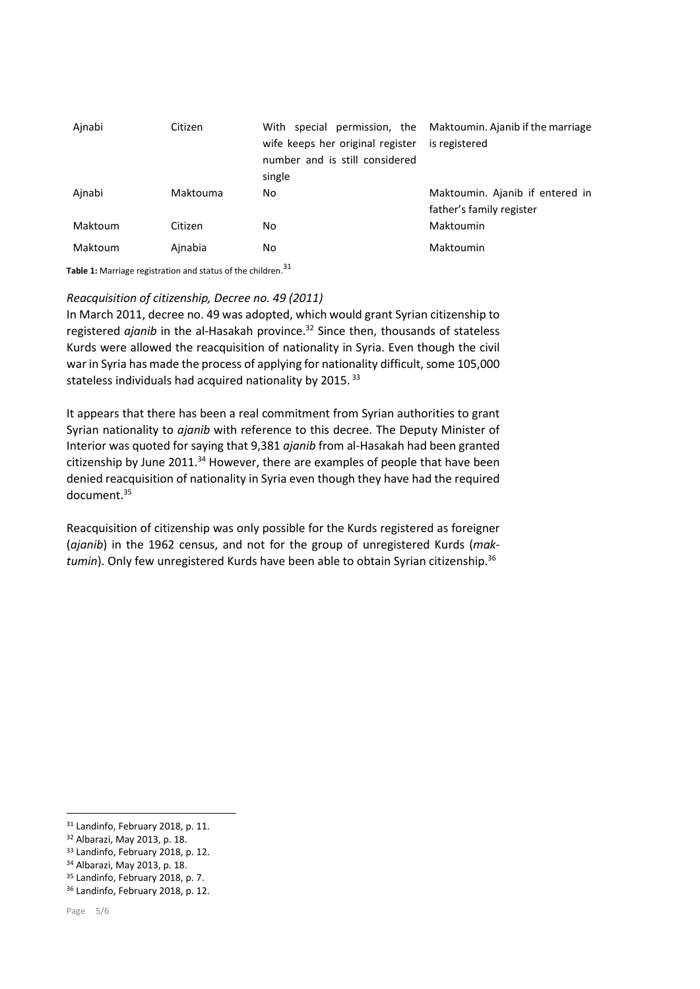| Ainabi  | Citizen  | wife keeps her original register<br>number and is still considered<br>single | With special permission, the Maktoumin. Ajanib if the marriage<br>is registered |
|---------|----------|------------------------------------------------------------------------------|---------------------------------------------------------------------------------|
| Ainabi  | Maktouma | No                                                                           | Maktoumin. Ajanib if entered in<br>father's family register                     |
| Maktoum | Citizen  | No.                                                                          | Maktoumin                                                                       |
| Maktoum | Ainabia  | No                                                                           | Maktoumin                                                                       |

**Table 1:** Marriage registration and status of the children. 31

#### *Reacquisition of citizenship, Decree no. 49 (2011)*

In March 2011, decree no. 49 was adopted, which would grant Syrian citizenship to registered *ajanib* in the al-Hasakah province.<sup>32</sup> Since then, thousands of stateless Kurds were allowed the reacquisition of nationality in Syria. Even though the civil war in Syria has made the process of applying for nationality difficult, some 105,000 stateless individuals had acquired nationality by 2015.<sup>33</sup>

It appears that there has been a real commitment from Syrian authorities to grant Syrian nationality to *ajanib* with reference to this decree. The Deputy Minister of Interior was quoted for saying that 9,381 *ajanib* from al-Hasakah had been granted citizenship by June 2011.<sup>34</sup> However, there are examples of people that have been denied reacquisition of nationality in Syria even though they have had the required document.<sup>35</sup>

Reacquisition of citizenship was only possible for the Kurds registered as foreigner (*ajanib*) in the 1962 census, and not for the group of unregistered Kurds (*maktumin*). Only few unregistered Kurds have been able to obtain Syrian citizenship. 36

**.** 

<sup>31</sup> Landinfo, February 2018, p. 11.

<sup>32</sup> Albarazi, May 2013, p. 18.

<sup>33</sup> Landinfo, February 2018, p. 12.

<sup>34</sup> Albarazi, May 2013, p. 18.

<sup>35</sup> Landinfo, February 2018, p. 7.